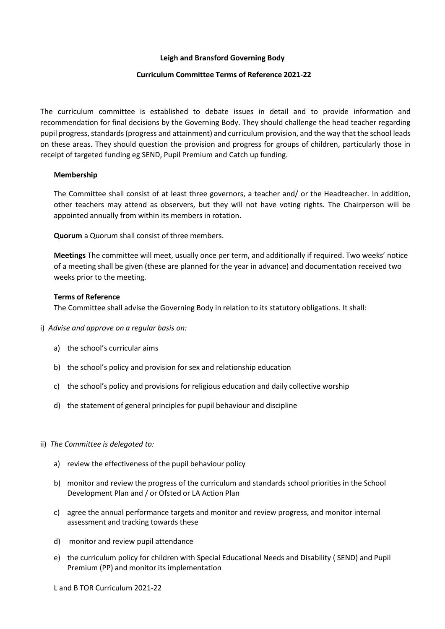## **Leigh and Bransford Governing Body**

## **Curriculum Committee Terms of Reference 2021-22**

The curriculum committee is established to debate issues in detail and to provide information and recommendation for final decisions by the Governing Body. They should challenge the head teacher regarding pupil progress, standards(progress and attainment) and curriculum provision, and the way that the school leads on these areas. They should question the provision and progress for groups of children, particularly those in receipt of targeted funding eg SEND, Pupil Premium and Catch up funding.

## **Membership**

The Committee shall consist of at least three governors, a teacher and/ or the Headteacher. In addition, other teachers may attend as observers, but they will not have voting rights. The Chairperson will be appointed annually from within its members in rotation.

**Quorum** a Quorum shall consist of three members.

**Meetings** The committee will meet, usually once per term, and additionally if required. Two weeks' notice of a meeting shall be given (these are planned for the year in advance) and documentation received two weeks prior to the meeting.

## **Terms of Reference**

The Committee shall advise the Governing Body in relation to its statutory obligations. It shall:

- i) *Advise and approve on a regular basis on:*
	- a) the school's curricular aims
	- b) the school's policy and provision for sex and relationship education
	- c) the school's policy and provisions for religious education and daily collective worship
	- d) the statement of general principles for pupil behaviour and discipline
- ii) *The Committee is delegated to:*
	- a) review the effectiveness of the pupil behaviour policy
	- b) monitor and review the progress of the curriculum and standards school priorities in the School Development Plan and / or Ofsted or LA Action Plan
	- c) agree the annual performance targets and monitor and review progress, and monitor internal assessment and tracking towards these
	- d) monitor and review pupil attendance
	- e) the curriculum policy for children with Special Educational Needs and Disability ( SEND) and Pupil Premium (PP) and monitor its implementation

L and B TOR Curriculum 2021-22